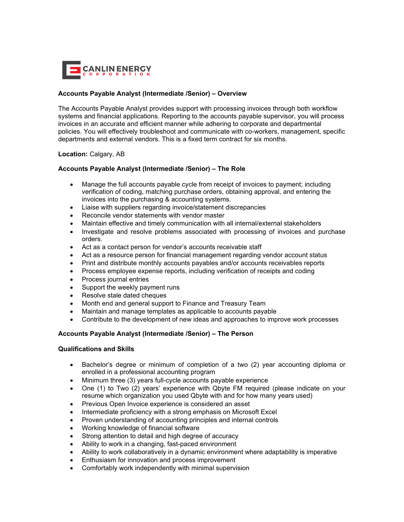

## **Accounts Payable Analyst (Intermediate /Senior) – Overview**

The Accounts Payable Analyst provides support with processing invoices through both workflow systems and financial applications. Reporting to the accounts payable supervisor, you will process invoices in an accurate and efficient manner while adhering to corporate and departmental policies. You will effectively troubleshoot and communicate with co-workers, management, specific departments and external vendors. This is a fixed term contract for six months.

### **Location:** Calgary, AB

# **Accounts Payable Analyst (Intermediate /Senior) – The Role**

- Manage the full accounts payable cycle from receipt of invoices to payment; including verification of coding, matching purchase orders, obtaining approval, and entering the invoices into the purchasing & accounting systems.
- Liaise with suppliers regarding invoice/statement discrepancies
- Reconcile vendor statements with vendor master
- Maintain effective and timely communication with all internal/external stakeholders
- Investigate and resolve problems associated with processing of invoices and purchase orders.
- Act as a contact person for vendor's accounts receivable staff
- Act as a resource person for financial management regarding vendor account status
- Print and distribute monthly accounts payables and/or accounts receivables reports
- Process employee expense reports, including verification of receipts and coding
- Process journal entries
- Support the weekly payment runs
- Resolve stale dated cheques
- Month end and general support to Finance and Treasury Team
- Maintain and manage templates as applicable to accounts payable
- Contribute to the development of new ideas and approaches to improve work processes

### **Accounts Payable Analyst (Intermediate /Senior) – The Person**

## **Qualifications and Skills**

- Bachelor's degree or minimum of completion of a two (2) year accounting diploma or enrolled in a professional accounting program
- Minimum three (3) years full-cycle accounts payable experience
- One (1) to Two (2) years' experience with Qbyte FM required (please indicate on your resume which organization you used Qbyte with and for how many years used)
- Previous Open Invoice experience is considered an asset
- Intermediate proficiency with a strong emphasis on Microsoft Excel
- Proven understanding of accounting principles and internal controls
- Working knowledge of financial software
- Strong attention to detail and high degree of accuracy
- Ability to work in a changing, fast-paced environment
- Ability to work collaboratively in a dynamic environment where adaptability is imperative
- Enthusiasm for innovation and process improvement
- Comfortably work independently with minimal supervision